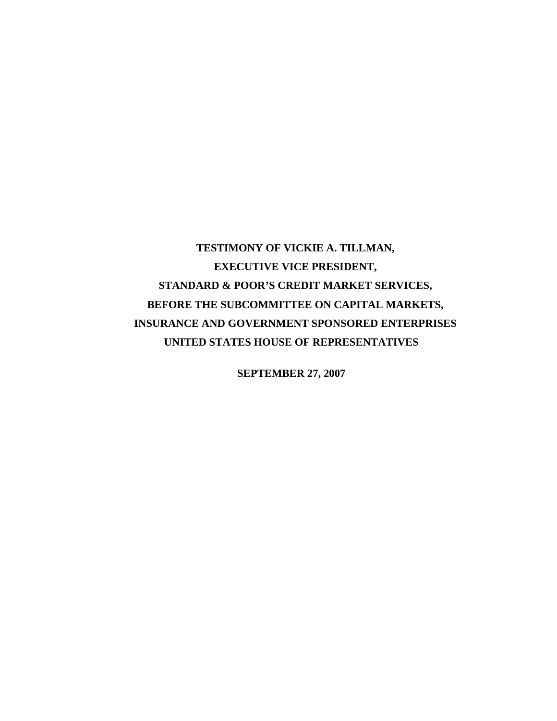# **TESTIMONY OF VICKIE A. TILLMAN, EXECUTIVE VICE PRESIDENT, STANDARD & POOR'S CREDIT MARKET SERVICES, BEFORE THE SUBCOMMITTEE ON CAPITAL MARKETS, INSURANCE AND GOVERNMENT SPONSORED ENTERPRISES UNITED STATES HOUSE OF REPRESENTATIVES**

**SEPTEMBER 27, 2007**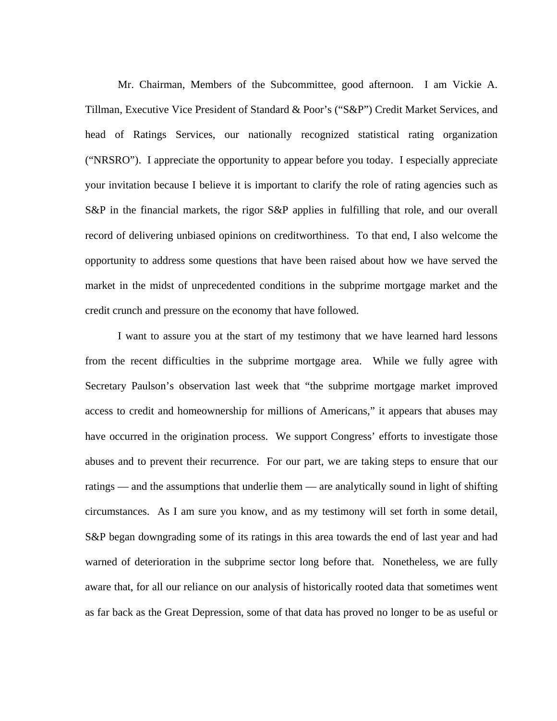Mr. Chairman, Members of the Subcommittee, good afternoon. I am Vickie A. Tillman, Executive Vice President of Standard & Poor's ("S&P") Credit Market Services, and head of Ratings Services, our nationally recognized statistical rating organization ("NRSRO"). I appreciate the opportunity to appear before you today. I especially appreciate your invitation because I believe it is important to clarify the role of rating agencies such as S&P in the financial markets, the rigor S&P applies in fulfilling that role, and our overall record of delivering unbiased opinions on creditworthiness. To that end, I also welcome the opportunity to address some questions that have been raised about how we have served the market in the midst of unprecedented conditions in the subprime mortgage market and the credit crunch and pressure on the economy that have followed.

I want to assure you at the start of my testimony that we have learned hard lessons from the recent difficulties in the subprime mortgage area. While we fully agree with Secretary Paulson's observation last week that "the subprime mortgage market improved access to credit and homeownership for millions of Americans," it appears that abuses may have occurred in the origination process. We support Congress' efforts to investigate those abuses and to prevent their recurrence. For our part, we are taking steps to ensure that our ratings — and the assumptions that underlie them — are analytically sound in light of shifting circumstances. As I am sure you know, and as my testimony will set forth in some detail, S&P began downgrading some of its ratings in this area towards the end of last year and had warned of deterioration in the subprime sector long before that. Nonetheless, we are fully aware that, for all our reliance on our analysis of historically rooted data that sometimes went as far back as the Great Depression, some of that data has proved no longer to be as useful or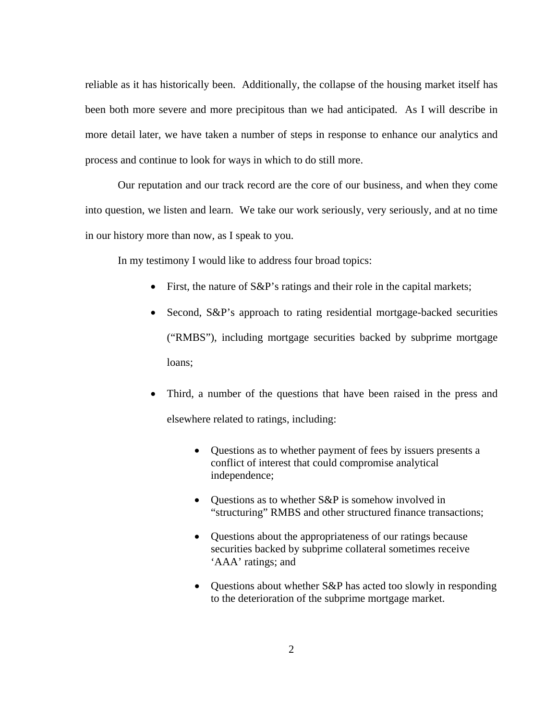reliable as it has historically been. Additionally, the collapse of the housing market itself has been both more severe and more precipitous than we had anticipated. As I will describe in more detail later, we have taken a number of steps in response to enhance our analytics and process and continue to look for ways in which to do still more.

Our reputation and our track record are the core of our business, and when they come into question, we listen and learn. We take our work seriously, very seriously, and at no time in our history more than now, as I speak to you.

In my testimony I would like to address four broad topics:

- First, the nature of S&P's ratings and their role in the capital markets;
- Second, S&P's approach to rating residential mortgage-backed securities ("RMBS"), including mortgage securities backed by subprime mortgage loans;
- Third, a number of the questions that have been raised in the press and elsewhere related to ratings, including:
	- Questions as to whether payment of fees by issuers presents a conflict of interest that could compromise analytical independence;
	- Questions as to whether S&P is somehow involved in "structuring" RMBS and other structured finance transactions;
	- Questions about the appropriateness of our ratings because securities backed by subprime collateral sometimes receive 'AAA' ratings; and
	- Questions about whether S&P has acted too slowly in responding to the deterioration of the subprime mortgage market.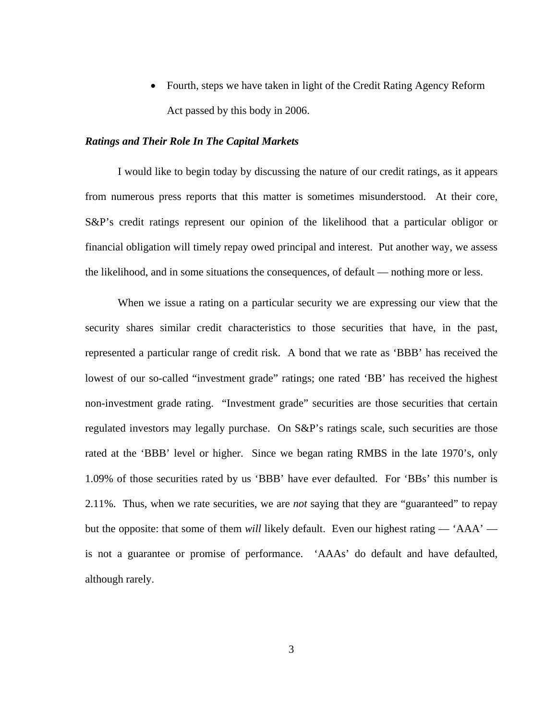• Fourth, steps we have taken in light of the Credit Rating Agency Reform Act passed by this body in 2006.

#### *Ratings and Their Role In The Capital Markets*

I would like to begin today by discussing the nature of our credit ratings, as it appears from numerous press reports that this matter is sometimes misunderstood. At their core, S&P's credit ratings represent our opinion of the likelihood that a particular obligor or financial obligation will timely repay owed principal and interest. Put another way, we assess the likelihood, and in some situations the consequences, of default — nothing more or less.

When we issue a rating on a particular security we are expressing our view that the security shares similar credit characteristics to those securities that have, in the past, represented a particular range of credit risk. A bond that we rate as 'BBB' has received the lowest of our so-called "investment grade" ratings; one rated 'BB' has received the highest non-investment grade rating. "Investment grade" securities are those securities that certain regulated investors may legally purchase. On S&P's ratings scale, such securities are those rated at the 'BBB' level or higher. Since we began rating RMBS in the late 1970's, only 1.09% of those securities rated by us 'BBB' have ever defaulted. For 'BBs' this number is 2.11%. Thus, when we rate securities, we are *not* saying that they are "guaranteed" to repay but the opposite: that some of them *will* likely default. Even our highest rating — 'AAA' is not a guarantee or promise of performance. 'AAAs' do default and have defaulted, although rarely.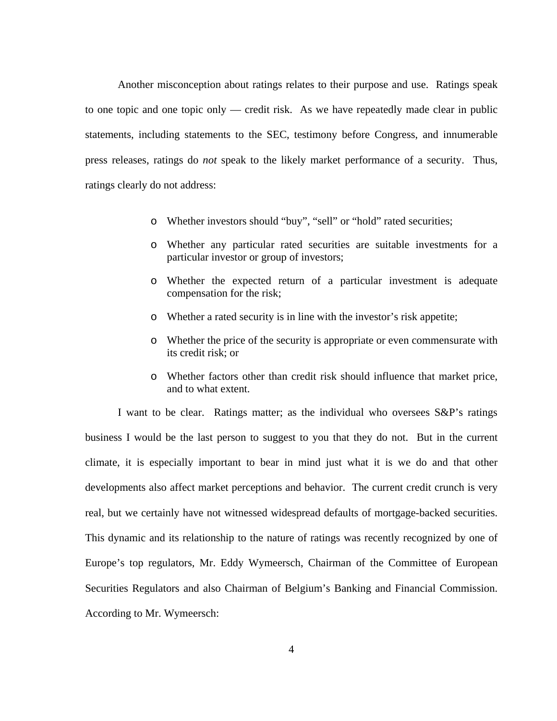Another misconception about ratings relates to their purpose and use. Ratings speak to one topic and one topic only — credit risk. As we have repeatedly made clear in public statements, including statements to the SEC, testimony before Congress, and innumerable press releases, ratings do *not* speak to the likely market performance of a security. Thus, ratings clearly do not address:

- o Whether investors should "buy", "sell" or "hold" rated securities;
- o Whether any particular rated securities are suitable investments for a particular investor or group of investors;
- o Whether the expected return of a particular investment is adequate compensation for the risk;
- o Whether a rated security is in line with the investor's risk appetite;
- o Whether the price of the security is appropriate or even commensurate with its credit risk; or
- o Whether factors other than credit risk should influence that market price, and to what extent.

I want to be clear. Ratings matter; as the individual who oversees S&P's ratings business I would be the last person to suggest to you that they do not. But in the current climate, it is especially important to bear in mind just what it is we do and that other developments also affect market perceptions and behavior. The current credit crunch is very real, but we certainly have not witnessed widespread defaults of mortgage-backed securities. This dynamic and its relationship to the nature of ratings was recently recognized by one of Europe's top regulators, Mr. Eddy Wymeersch, Chairman of the Committee of European Securities Regulators and also Chairman of Belgium's Banking and Financial Commission. According to Mr. Wymeersch: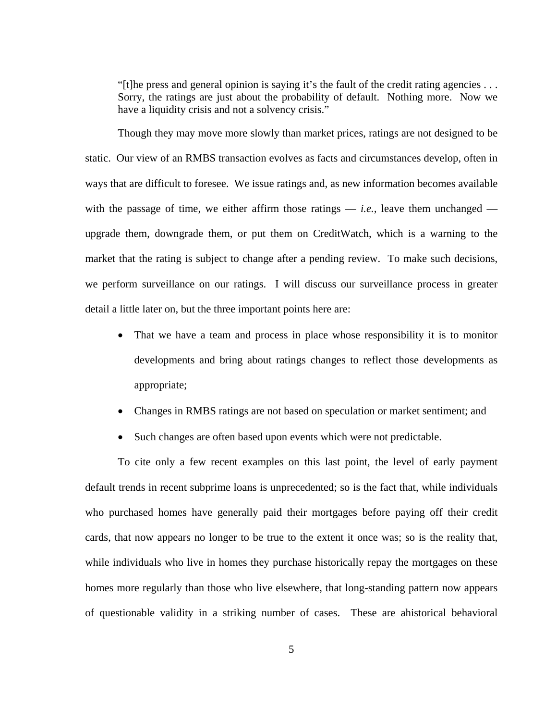"[t]he press and general opinion is saying it's the fault of the credit rating agencies . . . Sorry, the ratings are just about the probability of default. Nothing more. Now we have a liquidity crisis and not a solvency crisis."

Though they may move more slowly than market prices, ratings are not designed to be static. Our view of an RMBS transaction evolves as facts and circumstances develop, often in ways that are difficult to foresee. We issue ratings and, as new information becomes available with the passage of time, we either affirm those ratings  $-$  *i.e.*, leave them unchanged  $$ upgrade them, downgrade them, or put them on CreditWatch, which is a warning to the market that the rating is subject to change after a pending review. To make such decisions, we perform surveillance on our ratings. I will discuss our surveillance process in greater detail a little later on, but the three important points here are:

- That we have a team and process in place whose responsibility it is to monitor developments and bring about ratings changes to reflect those developments as appropriate;
- Changes in RMBS ratings are not based on speculation or market sentiment; and
- Such changes are often based upon events which were not predictable.

To cite only a few recent examples on this last point, the level of early payment default trends in recent subprime loans is unprecedented; so is the fact that, while individuals who purchased homes have generally paid their mortgages before paying off their credit cards, that now appears no longer to be true to the extent it once was; so is the reality that, while individuals who live in homes they purchase historically repay the mortgages on these homes more regularly than those who live elsewhere, that long-standing pattern now appears of questionable validity in a striking number of cases. These are ahistorical behavioral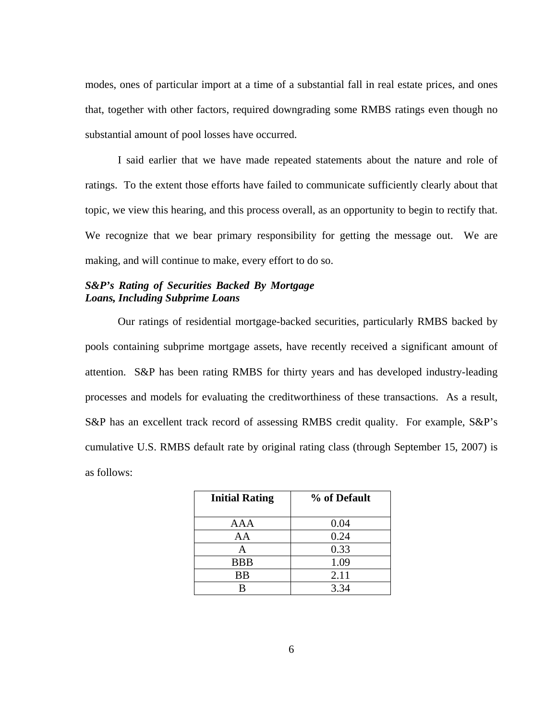modes, ones of particular import at a time of a substantial fall in real estate prices, and ones that, together with other factors, required downgrading some RMBS ratings even though no substantial amount of pool losses have occurred.

I said earlier that we have made repeated statements about the nature and role of ratings. To the extent those efforts have failed to communicate sufficiently clearly about that topic, we view this hearing, and this process overall, as an opportunity to begin to rectify that. We recognize that we bear primary responsibility for getting the message out. We are making, and will continue to make, every effort to do so.

## *S&P's Rating of Securities Backed By Mortgage Loans, Including Subprime Loans*

Our ratings of residential mortgage-backed securities, particularly RMBS backed by pools containing subprime mortgage assets, have recently received a significant amount of attention. S&P has been rating RMBS for thirty years and has developed industry-leading processes and models for evaluating the creditworthiness of these transactions. As a result, S&P has an excellent track record of assessing RMBS credit quality. For example, S&P's cumulative U.S. RMBS default rate by original rating class (through September 15, 2007) is as follows:

| <b>Initial Rating</b> | % of Default |  |  |  |  |  |
|-----------------------|--------------|--|--|--|--|--|
|                       |              |  |  |  |  |  |
| AAA                   | 0.04         |  |  |  |  |  |
| AA                    | 0.24         |  |  |  |  |  |
| А                     | 0.33         |  |  |  |  |  |
| <b>BBB</b>            | 1.09         |  |  |  |  |  |
| <b>BB</b>             | 2.11         |  |  |  |  |  |
| R                     | 3.34         |  |  |  |  |  |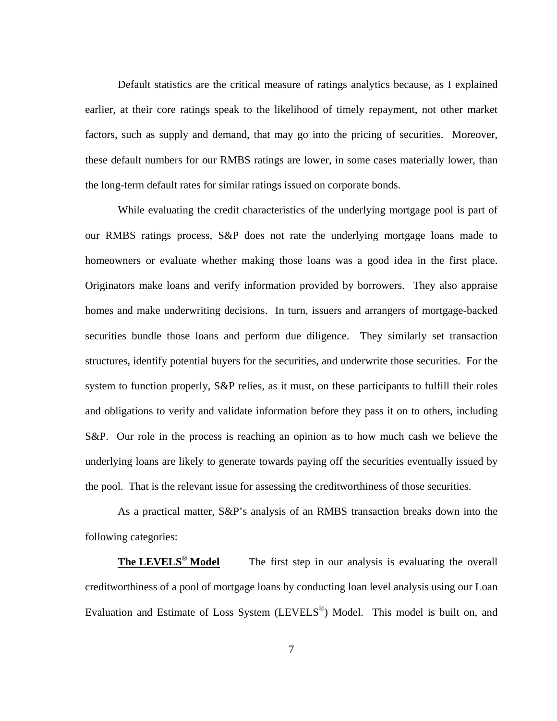Default statistics are the critical measure of ratings analytics because, as I explained earlier, at their core ratings speak to the likelihood of timely repayment, not other market factors, such as supply and demand, that may go into the pricing of securities. Moreover, these default numbers for our RMBS ratings are lower, in some cases materially lower, than the long-term default rates for similar ratings issued on corporate bonds.

While evaluating the credit characteristics of the underlying mortgage pool is part of our RMBS ratings process, S&P does not rate the underlying mortgage loans made to homeowners or evaluate whether making those loans was a good idea in the first place. Originators make loans and verify information provided by borrowers. They also appraise homes and make underwriting decisions. In turn, issuers and arrangers of mortgage-backed securities bundle those loans and perform due diligence. They similarly set transaction structures, identify potential buyers for the securities, and underwrite those securities. For the system to function properly, S&P relies, as it must, on these participants to fulfill their roles and obligations to verify and validate information before they pass it on to others, including S&P. Our role in the process is reaching an opinion as to how much cash we believe the underlying loans are likely to generate towards paying off the securities eventually issued by the pool. That is the relevant issue for assessing the creditworthiness of those securities.

As a practical matter, S&P's analysis of an RMBS transaction breaks down into the following categories:

**The LEVELS<sup>®</sup> Model** The first step in our analysis is evaluating the overall creditworthiness of a pool of mortgage loans by conducting loan level analysis using our Loan Evaluation and Estimate of Loss System (LEVELS®) Model. This model is built on, and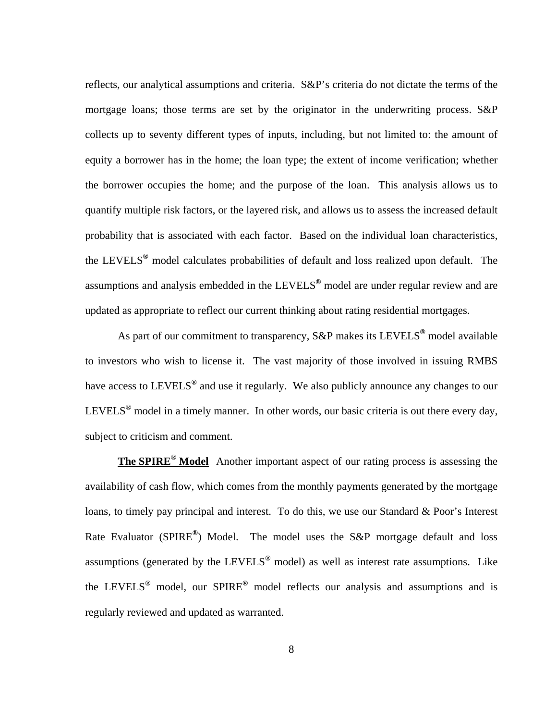reflects, our analytical assumptions and criteria. S&P's criteria do not dictate the terms of the mortgage loans; those terms are set by the originator in the underwriting process. S&P collects up to seventy different types of inputs, including, but not limited to: the amount of equity a borrower has in the home; the loan type; the extent of income verification; whether the borrower occupies the home; and the purpose of the loan. This analysis allows us to quantify multiple risk factors, or the layered risk, and allows us to assess the increased default probability that is associated with each factor. Based on the individual loan characteristics, the LEVELS**®** model calculates probabilities of default and loss realized upon default. The assumptions and analysis embedded in the LEVELS**®** model are under regular review and are updated as appropriate to reflect our current thinking about rating residential mortgages.

As part of our commitment to transparency, S&P makes its LEVELS**®** model available to investors who wish to license it. The vast majority of those involved in issuing RMBS have access to LEVELS**®** and use it regularly. We also publicly announce any changes to our LEVELS**®** model in a timely manner. In other words, our basic criteria is out there every day, subject to criticism and comment.

**The SPIRE® Model** Another important aspect of our rating process is assessing the availability of cash flow, which comes from the monthly payments generated by the mortgage loans, to timely pay principal and interest. To do this, we use our Standard & Poor's Interest Rate Evaluator (SPIRE**®**) Model. The model uses the S&P mortgage default and loss assumptions (generated by the LEVELS**®** model) as well as interest rate assumptions. Like the LEVELS**®** model, our SPIRE**®** model reflects our analysis and assumptions and is regularly reviewed and updated as warranted.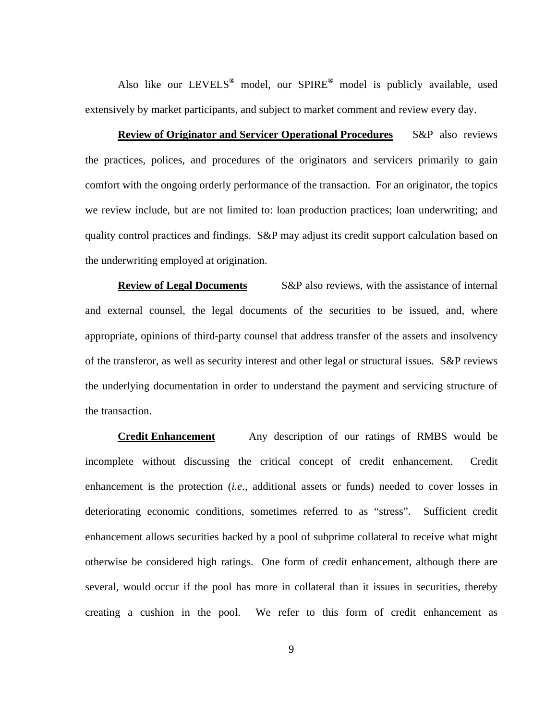Also like our LEVELS**®** model, our SPIRE**®** model is publicly available, used extensively by market participants, and subject to market comment and review every day.

**Review of Originator and Servicer Operational Procedures** S&P also reviews the practices, polices, and procedures of the originators and servicers primarily to gain comfort with the ongoing orderly performance of the transaction. For an originator, the topics we review include, but are not limited to: loan production practices; loan underwriting; and quality control practices and findings. S&P may adjust its credit support calculation based on the underwriting employed at origination.

**Review of Legal Documents** S&P also reviews, with the assistance of internal and external counsel, the legal documents of the securities to be issued, and, where appropriate, opinions of third-party counsel that address transfer of the assets and insolvency of the transferor, as well as security interest and other legal or structural issues. S&P reviews the underlying documentation in order to understand the payment and servicing structure of the transaction.

**Credit Enhancement** Any description of our ratings of RMBS would be incomplete without discussing the critical concept of credit enhancement. Credit enhancement is the protection (*i.e*., additional assets or funds) needed to cover losses in deteriorating economic conditions, sometimes referred to as "stress". Sufficient credit enhancement allows securities backed by a pool of subprime collateral to receive what might otherwise be considered high ratings. One form of credit enhancement, although there are several, would occur if the pool has more in collateral than it issues in securities, thereby creating a cushion in the pool. We refer to this form of credit enhancement as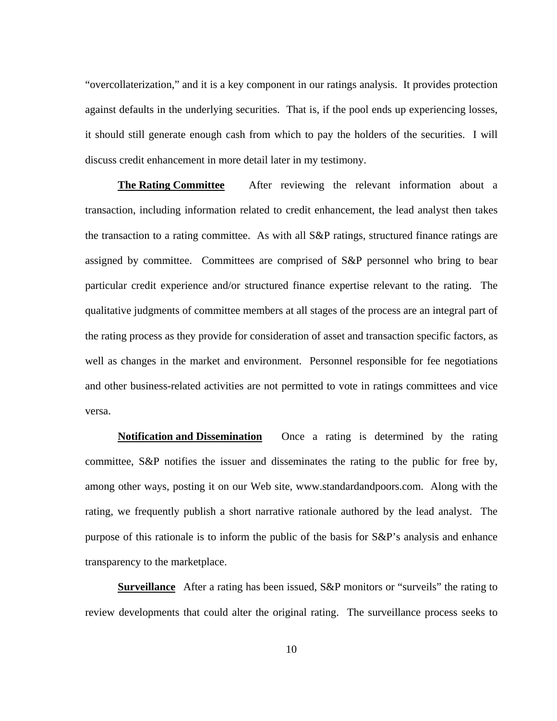"overcollaterization," and it is a key component in our ratings analysis. It provides protection against defaults in the underlying securities. That is, if the pool ends up experiencing losses, it should still generate enough cash from which to pay the holders of the securities. I will discuss credit enhancement in more detail later in my testimony.

**The Rating Committee** After reviewing the relevant information about a transaction, including information related to credit enhancement, the lead analyst then takes the transaction to a rating committee. As with all S&P ratings, structured finance ratings are assigned by committee. Committees are comprised of S&P personnel who bring to bear particular credit experience and/or structured finance expertise relevant to the rating. The qualitative judgments of committee members at all stages of the process are an integral part of the rating process as they provide for consideration of asset and transaction specific factors, as well as changes in the market and environment. Personnel responsible for fee negotiations and other business-related activities are not permitted to vote in ratings committees and vice versa.

**Notification and Dissemination** Once a rating is determined by the rating committee, S&P notifies the issuer and disseminates the rating to the public for free by, among other ways, posting it on our Web site, www.standardandpoors.com. Along with the rating, we frequently publish a short narrative rationale authored by the lead analyst. The purpose of this rationale is to inform the public of the basis for S&P's analysis and enhance transparency to the marketplace.

**Surveillance** After a rating has been issued, S&P monitors or "surveils" the rating to review developments that could alter the original rating. The surveillance process seeks to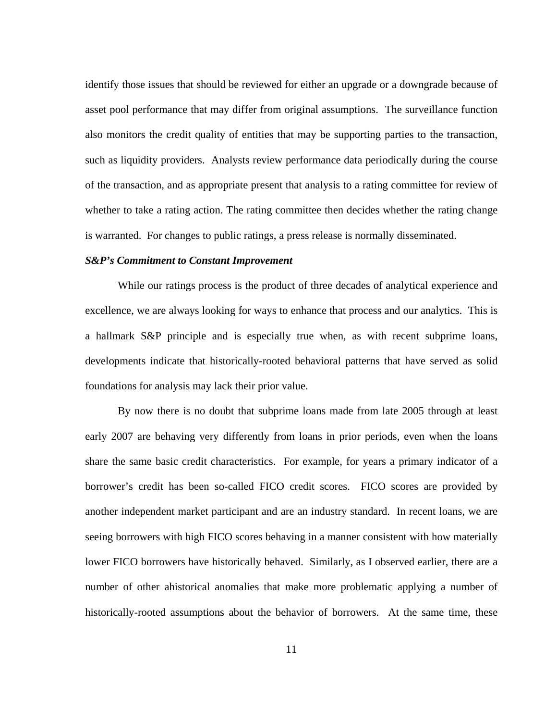identify those issues that should be reviewed for either an upgrade or a downgrade because of asset pool performance that may differ from original assumptions. The surveillance function also monitors the credit quality of entities that may be supporting parties to the transaction, such as liquidity providers. Analysts review performance data periodically during the course of the transaction, and as appropriate present that analysis to a rating committee for review of whether to take a rating action. The rating committee then decides whether the rating change is warranted. For changes to public ratings, a press release is normally disseminated.

#### *S&P's Commitment to Constant Improvement*

While our ratings process is the product of three decades of analytical experience and excellence, we are always looking for ways to enhance that process and our analytics. This is a hallmark S&P principle and is especially true when, as with recent subprime loans, developments indicate that historically-rooted behavioral patterns that have served as solid foundations for analysis may lack their prior value.

By now there is no doubt that subprime loans made from late 2005 through at least early 2007 are behaving very differently from loans in prior periods, even when the loans share the same basic credit characteristics. For example, for years a primary indicator of a borrower's credit has been so-called FICO credit scores. FICO scores are provided by another independent market participant and are an industry standard. In recent loans, we are seeing borrowers with high FICO scores behaving in a manner consistent with how materially lower FICO borrowers have historically behaved. Similarly, as I observed earlier, there are a number of other ahistorical anomalies that make more problematic applying a number of historically-rooted assumptions about the behavior of borrowers. At the same time, these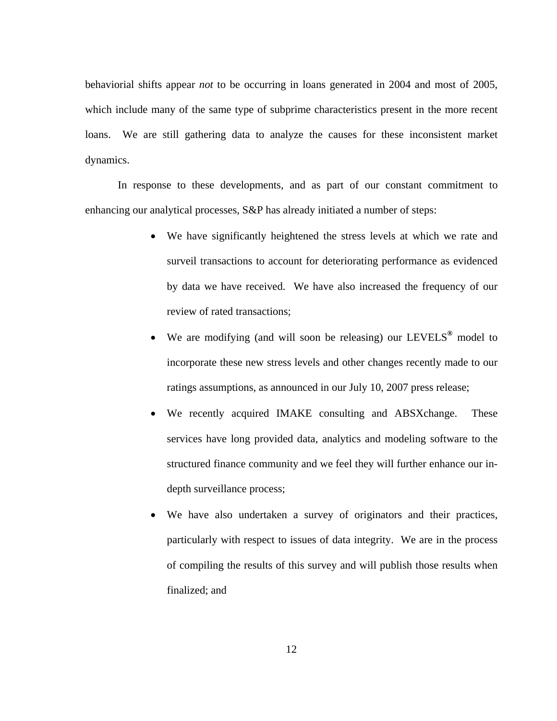behaviorial shifts appear *not* to be occurring in loans generated in 2004 and most of 2005, which include many of the same type of subprime characteristics present in the more recent loans. We are still gathering data to analyze the causes for these inconsistent market dynamics.

In response to these developments, and as part of our constant commitment to enhancing our analytical processes, S&P has already initiated a number of steps:

- We have significantly heightened the stress levels at which we rate and surveil transactions to account for deteriorating performance as evidenced by data we have received. We have also increased the frequency of our review of rated transactions;
- We are modifying (and will soon be releasing) our LEVELS**®** model to incorporate these new stress levels and other changes recently made to our ratings assumptions, as announced in our July 10, 2007 press release;
- We recently acquired IMAKE consulting and ABSXchange. These services have long provided data, analytics and modeling software to the structured finance community and we feel they will further enhance our indepth surveillance process;
- We have also undertaken a survey of originators and their practices, particularly with respect to issues of data integrity. We are in the process of compiling the results of this survey and will publish those results when finalized; and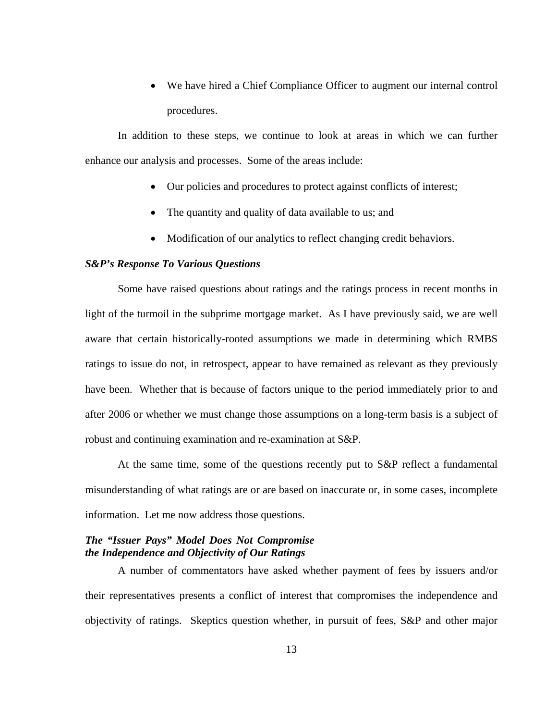• We have hired a Chief Compliance Officer to augment our internal control procedures.

In addition to these steps, we continue to look at areas in which we can further enhance our analysis and processes. Some of the areas include:

- Our policies and procedures to protect against conflicts of interest;
- The quantity and quality of data available to us; and
- Modification of our analytics to reflect changing credit behaviors.

## *S&P's Response To Various Questions*

Some have raised questions about ratings and the ratings process in recent months in light of the turmoil in the subprime mortgage market. As I have previously said, we are well aware that certain historically-rooted assumptions we made in determining which RMBS ratings to issue do not, in retrospect, appear to have remained as relevant as they previously have been. Whether that is because of factors unique to the period immediately prior to and after 2006 or whether we must change those assumptions on a long-term basis is a subject of robust and continuing examination and re-examination at S&P.

At the same time, some of the questions recently put to S&P reflect a fundamental misunderstanding of what ratings are or are based on inaccurate or, in some cases, incomplete information. Let me now address those questions.

# *The "Issuer Pays" Model Does Not Compromise the Independence and Objectivity of Our Ratings*

A number of commentators have asked whether payment of fees by issuers and/or their representatives presents a conflict of interest that compromises the independence and objectivity of ratings. Skeptics question whether, in pursuit of fees, S&P and other major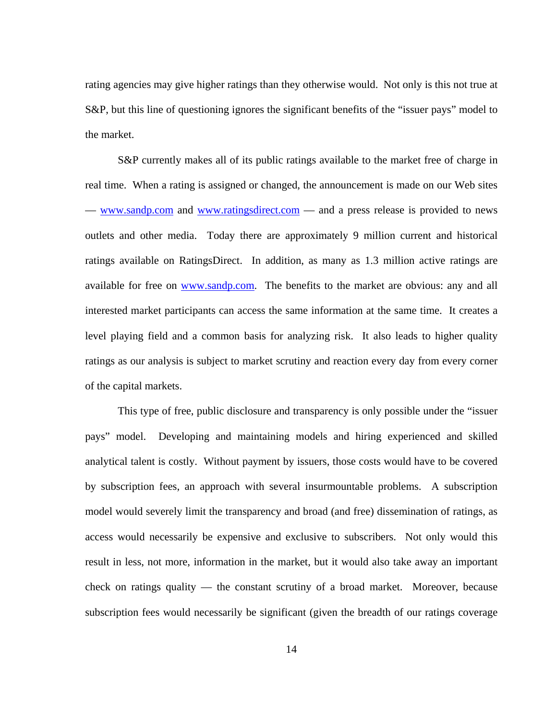rating agencies may give higher ratings than they otherwise would. Not only is this not true at S&P, but this line of questioning ignores the significant benefits of the "issuer pays" model to the market.

S&P currently makes all of its public ratings available to the market free of charge in real time. When a rating is assigned or changed, the announcement is made on our Web sites — www.sandp.com and www.ratingsdirect.com — and a press release is provided to news outlets and other media. Today there are approximately 9 million current and historical ratings available on RatingsDirect. In addition, as many as 1.3 million active ratings are available for free on www.sandp.com. The benefits to the market are obvious: any and all interested market participants can access the same information at the same time. It creates a level playing field and a common basis for analyzing risk. It also leads to higher quality ratings as our analysis is subject to market scrutiny and reaction every day from every corner of the capital markets.

This type of free, public disclosure and transparency is only possible under the "issuer pays" model. Developing and maintaining models and hiring experienced and skilled analytical talent is costly. Without payment by issuers, those costs would have to be covered by subscription fees, an approach with several insurmountable problems. A subscription model would severely limit the transparency and broad (and free) dissemination of ratings, as access would necessarily be expensive and exclusive to subscribers. Not only would this result in less, not more, information in the market, but it would also take away an important check on ratings quality — the constant scrutiny of a broad market. Moreover, because subscription fees would necessarily be significant (given the breadth of our ratings coverage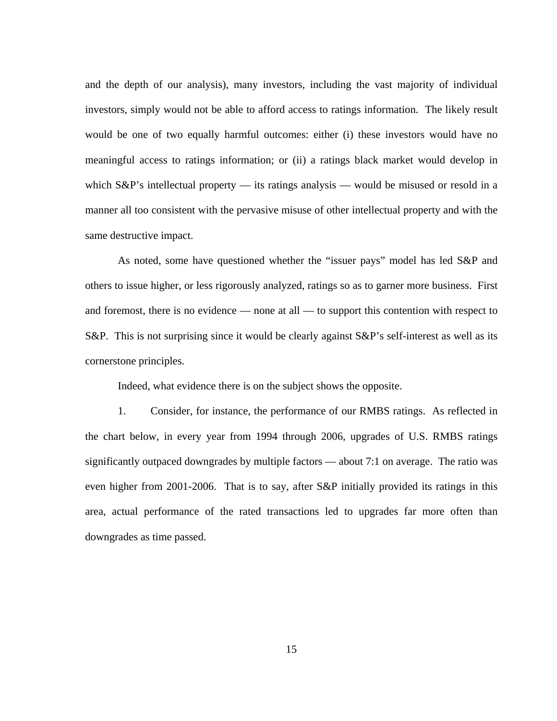and the depth of our analysis), many investors, including the vast majority of individual investors, simply would not be able to afford access to ratings information. The likely result would be one of two equally harmful outcomes: either (i) these investors would have no meaningful access to ratings information; or (ii) a ratings black market would develop in which  $S\&P$ 's intellectual property — its ratings analysis — would be misused or resold in a manner all too consistent with the pervasive misuse of other intellectual property and with the same destructive impact.

As noted, some have questioned whether the "issuer pays" model has led S&P and others to issue higher, or less rigorously analyzed, ratings so as to garner more business. First and foremost, there is no evidence — none at all — to support this contention with respect to S&P. This is not surprising since it would be clearly against S&P's self-interest as well as its cornerstone principles.

Indeed, what evidence there is on the subject shows the opposite.

1. Consider, for instance, the performance of our RMBS ratings. As reflected in the chart below, in every year from 1994 through 2006, upgrades of U.S. RMBS ratings significantly outpaced downgrades by multiple factors — about 7:1 on average. The ratio was even higher from 2001-2006. That is to say, after S&P initially provided its ratings in this area, actual performance of the rated transactions led to upgrades far more often than downgrades as time passed.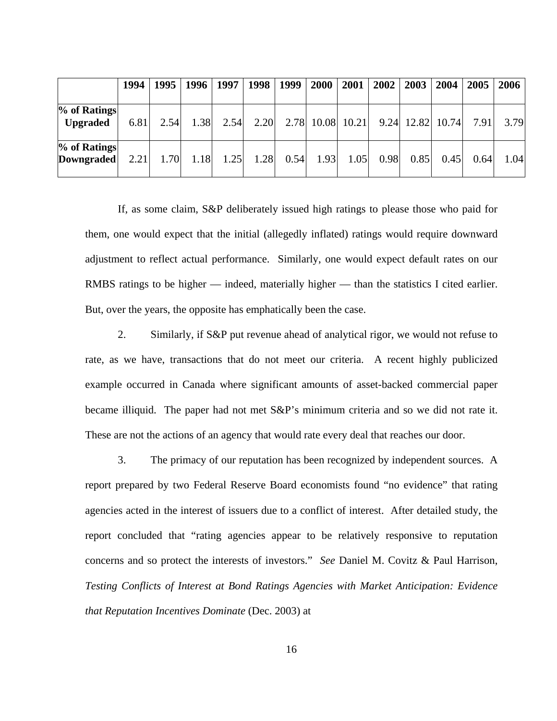|                                     | 1994 | 1995 |      | 1996   1997 |      | 1998   1999 | <b>2000</b>      | 2001 | 2002 | 2003 | 2004               | 2005 | 2006 |
|-------------------------------------|------|------|------|-------------|------|-------------|------------------|------|------|------|--------------------|------|------|
| % of Ratings<br><b>Upgraded</b>     | 6.81 | 2.54 | 1.38 | 2.54        | 2.20 |             | 2.78 10.08 10.21 |      |      |      | $9.24$ 12.82 10.74 | 7.91 | 3.79 |
| $%$ of Ratings<br><b>Downgraded</b> | 2.21 | 1.70 | 1.18 | 1.25        | 1.28 | 0.54        | 1.93             | 1.05 | 0.98 | 0.85 | 0.45               | 0.64 | 1.04 |

If, as some claim, S&P deliberately issued high ratings to please those who paid for them, one would expect that the initial (allegedly inflated) ratings would require downward adjustment to reflect actual performance. Similarly, one would expect default rates on our RMBS ratings to be higher — indeed, materially higher — than the statistics I cited earlier. But, over the years, the opposite has emphatically been the case.

2. Similarly, if S&P put revenue ahead of analytical rigor, we would not refuse to rate, as we have, transactions that do not meet our criteria. A recent highly publicized example occurred in Canada where significant amounts of asset-backed commercial paper became illiquid. The paper had not met S&P's minimum criteria and so we did not rate it. These are not the actions of an agency that would rate every deal that reaches our door.

3. The primacy of our reputation has been recognized by independent sources. A report prepared by two Federal Reserve Board economists found "no evidence" that rating agencies acted in the interest of issuers due to a conflict of interest. After detailed study, the report concluded that "rating agencies appear to be relatively responsive to reputation concerns and so protect the interests of investors." *See* Daniel M. Covitz & Paul Harrison, *Testing Conflicts of Interest at Bond Ratings Agencies with Market Anticipation: Evidence that Reputation Incentives Dominate* (Dec. 2003) at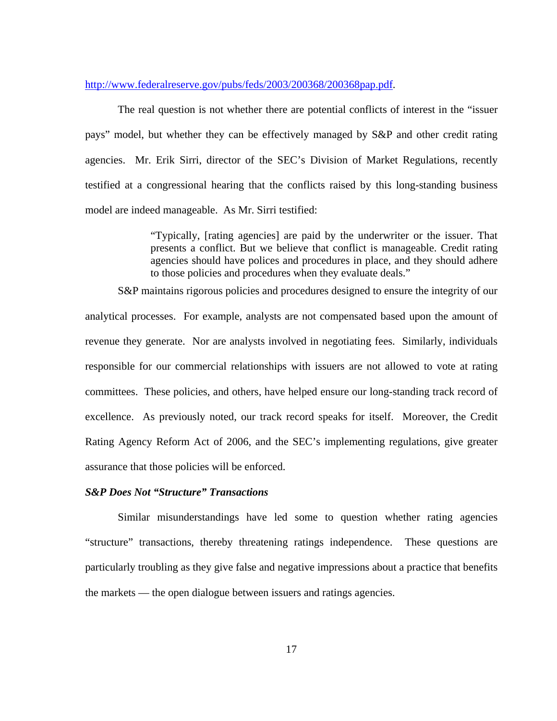#### http://www.federalreserve.gov/pubs/feds/2003/200368/200368pap.pdf.

The real question is not whether there are potential conflicts of interest in the "issuer pays" model, but whether they can be effectively managed by S&P and other credit rating agencies. Mr. Erik Sirri, director of the SEC's Division of Market Regulations, recently testified at a congressional hearing that the conflicts raised by this long-standing business model are indeed manageable. As Mr. Sirri testified:

> "Typically, [rating agencies] are paid by the underwriter or the issuer. That presents a conflict. But we believe that conflict is manageable. Credit rating agencies should have polices and procedures in place, and they should adhere to those policies and procedures when they evaluate deals."

S&P maintains rigorous policies and procedures designed to ensure the integrity of our analytical processes. For example, analysts are not compensated based upon the amount of revenue they generate. Nor are analysts involved in negotiating fees. Similarly, individuals responsible for our commercial relationships with issuers are not allowed to vote at rating committees. These policies, and others, have helped ensure our long-standing track record of excellence. As previously noted, our track record speaks for itself. Moreover, the Credit Rating Agency Reform Act of 2006, and the SEC's implementing regulations, give greater assurance that those policies will be enforced.

## *S&P Does Not "Structure" Transactions*

Similar misunderstandings have led some to question whether rating agencies "structure" transactions, thereby threatening ratings independence. These questions are particularly troubling as they give false and negative impressions about a practice that benefits the markets — the open dialogue between issuers and ratings agencies.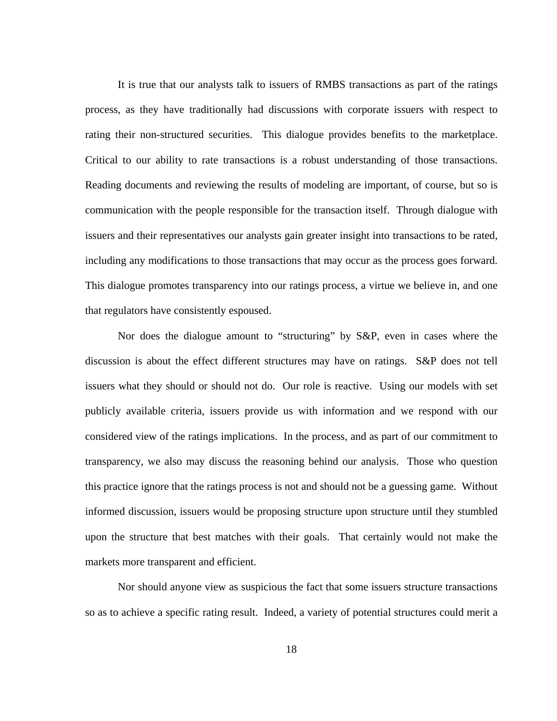It is true that our analysts talk to issuers of RMBS transactions as part of the ratings process, as they have traditionally had discussions with corporate issuers with respect to rating their non-structured securities. This dialogue provides benefits to the marketplace. Critical to our ability to rate transactions is a robust understanding of those transactions. Reading documents and reviewing the results of modeling are important, of course, but so is communication with the people responsible for the transaction itself. Through dialogue with issuers and their representatives our analysts gain greater insight into transactions to be rated, including any modifications to those transactions that may occur as the process goes forward. This dialogue promotes transparency into our ratings process, a virtue we believe in, and one that regulators have consistently espoused.

Nor does the dialogue amount to "structuring" by S&P, even in cases where the discussion is about the effect different structures may have on ratings. S&P does not tell issuers what they should or should not do. Our role is reactive. Using our models with set publicly available criteria, issuers provide us with information and we respond with our considered view of the ratings implications. In the process, and as part of our commitment to transparency, we also may discuss the reasoning behind our analysis. Those who question this practice ignore that the ratings process is not and should not be a guessing game. Without informed discussion, issuers would be proposing structure upon structure until they stumbled upon the structure that best matches with their goals. That certainly would not make the markets more transparent and efficient.

Nor should anyone view as suspicious the fact that some issuers structure transactions so as to achieve a specific rating result. Indeed, a variety of potential structures could merit a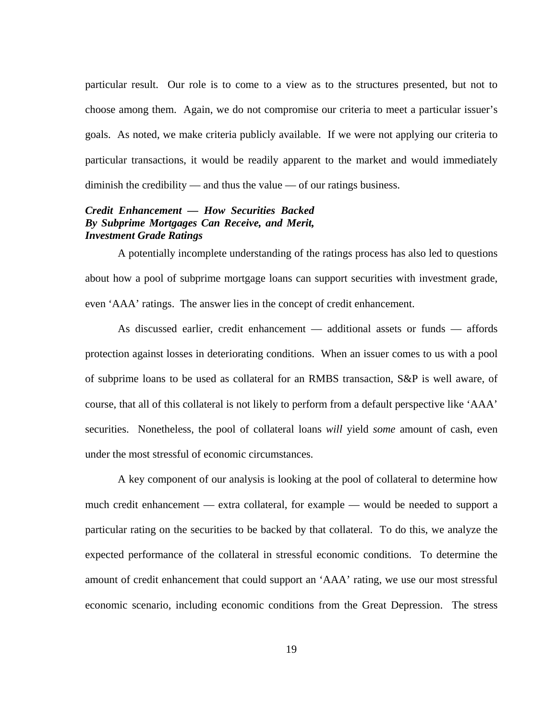particular result. Our role is to come to a view as to the structures presented, but not to choose among them. Again, we do not compromise our criteria to meet a particular issuer's goals. As noted, we make criteria publicly available. If we were not applying our criteria to particular transactions, it would be readily apparent to the market and would immediately diminish the credibility — and thus the value — of our ratings business.

## *Credit Enhancement — How Securities Backed By Subprime Mortgages Can Receive, and Merit, Investment Grade Ratings*

A potentially incomplete understanding of the ratings process has also led to questions about how a pool of subprime mortgage loans can support securities with investment grade, even 'AAA' ratings. The answer lies in the concept of credit enhancement.

As discussed earlier, credit enhancement — additional assets or funds — affords protection against losses in deteriorating conditions. When an issuer comes to us with a pool of subprime loans to be used as collateral for an RMBS transaction, S&P is well aware, of course, that all of this collateral is not likely to perform from a default perspective like 'AAA' securities. Nonetheless, the pool of collateral loans *will* yield *some* amount of cash, even under the most stressful of economic circumstances.

A key component of our analysis is looking at the pool of collateral to determine how much credit enhancement — extra collateral, for example — would be needed to support a particular rating on the securities to be backed by that collateral. To do this, we analyze the expected performance of the collateral in stressful economic conditions. To determine the amount of credit enhancement that could support an 'AAA' rating, we use our most stressful economic scenario, including economic conditions from the Great Depression. The stress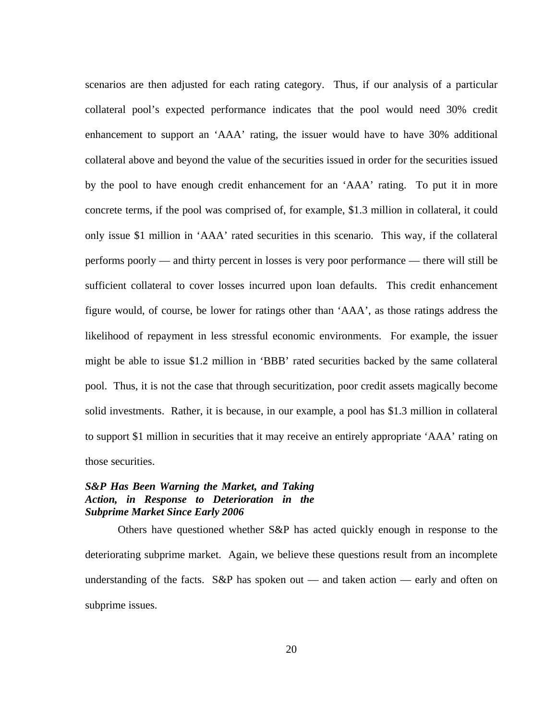scenarios are then adjusted for each rating category. Thus, if our analysis of a particular collateral pool's expected performance indicates that the pool would need 30% credit enhancement to support an 'AAA' rating, the issuer would have to have 30% additional collateral above and beyond the value of the securities issued in order for the securities issued by the pool to have enough credit enhancement for an 'AAA' rating. To put it in more concrete terms, if the pool was comprised of, for example, \$1.3 million in collateral, it could only issue \$1 million in 'AAA' rated securities in this scenario. This way, if the collateral performs poorly — and thirty percent in losses is very poor performance — there will still be sufficient collateral to cover losses incurred upon loan defaults. This credit enhancement figure would, of course, be lower for ratings other than 'AAA', as those ratings address the likelihood of repayment in less stressful economic environments. For example, the issuer might be able to issue \$1.2 million in 'BBB' rated securities backed by the same collateral pool. Thus, it is not the case that through securitization, poor credit assets magically become solid investments. Rather, it is because, in our example, a pool has \$1.3 million in collateral to support \$1 million in securities that it may receive an entirely appropriate 'AAA' rating on those securities.

## *S&P Has Been Warning the Market, and Taking Action, in Response to Deterioration in the Subprime Market Since Early 2006*

Others have questioned whether S&P has acted quickly enough in response to the deteriorating subprime market. Again, we believe these questions result from an incomplete understanding of the facts. S&P has spoken out — and taken action — early and often on subprime issues.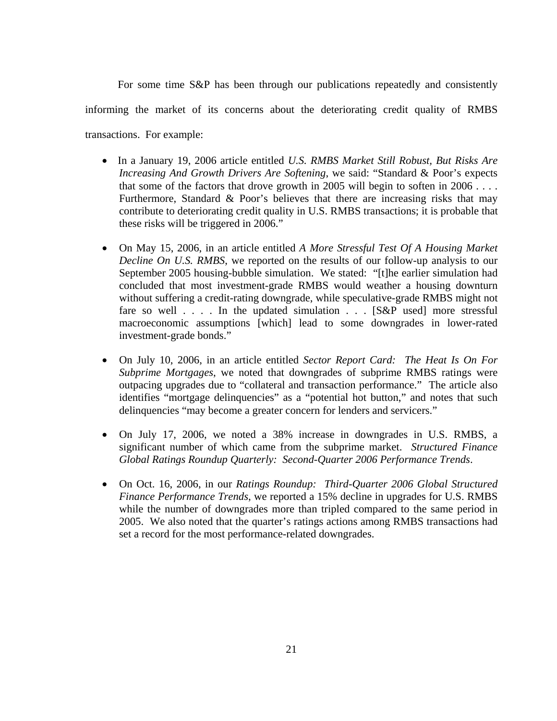For some time S&P has been through our publications repeatedly and consistently informing the market of its concerns about the deteriorating credit quality of RMBS transactions. For example:

- In a January 19, 2006 article entitled *U.S. RMBS Market Still Robust, But Risks Are Increasing And Growth Drivers Are Softening*, we said: "Standard & Poor's expects that some of the factors that drove growth in 2005 will begin to soften in  $2006...$ Furthermore, Standard & Poor's believes that there are increasing risks that may contribute to deteriorating credit quality in U.S. RMBS transactions; it is probable that these risks will be triggered in 2006."
- On May 15, 2006, in an article entitled *A More Stressful Test Of A Housing Market Decline On U.S. RMBS*, we reported on the results of our follow-up analysis to our September 2005 housing-bubble simulation. We stated: "[t]he earlier simulation had concluded that most investment-grade RMBS would weather a housing downturn without suffering a credit-rating downgrade, while speculative-grade RMBS might not fare so well  $\ldots$ . In the updated simulation  $\ldots$  [S&P used] more stressful macroeconomic assumptions [which] lead to some downgrades in lower-rated investment-grade bonds."
- On July 10, 2006, in an article entitled *Sector Report Card: The Heat Is On For Subprime Mortgages*, we noted that downgrades of subprime RMBS ratings were outpacing upgrades due to "collateral and transaction performance." The article also identifies "mortgage delinquencies" as a "potential hot button," and notes that such delinquencies "may become a greater concern for lenders and servicers."
- On July 17, 2006, we noted a 38% increase in downgrades in U.S. RMBS, a significant number of which came from the subprime market. *Structured Finance Global Ratings Roundup Quarterly: Second-Quarter 2006 Performance Trends*.
- On Oct. 16, 2006, in our *Ratings Roundup: Third-Quarter 2006 Global Structured Finance Performance Trends*, we reported a 15% decline in upgrades for U.S. RMBS while the number of downgrades more than tripled compared to the same period in 2005. We also noted that the quarter's ratings actions among RMBS transactions had set a record for the most performance-related downgrades.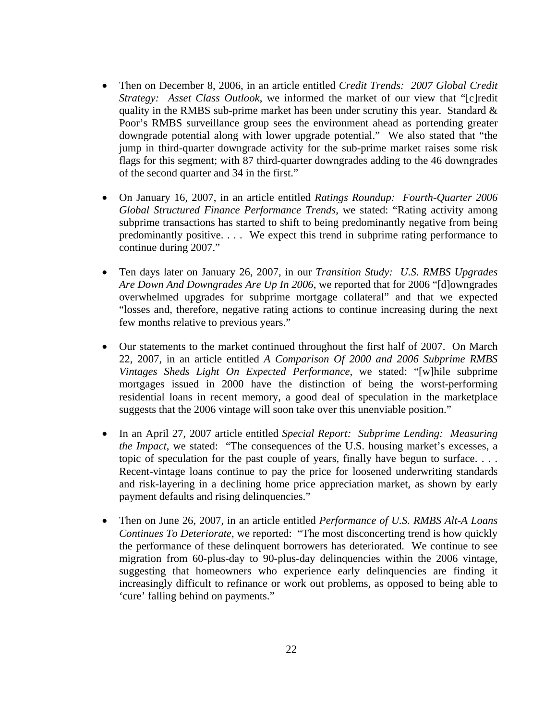- Then on December 8, 2006, in an article entitled *Credit Trends: 2007 Global Credit Strategy: Asset Class Outlook*, we informed the market of our view that "[c]redit quality in the RMBS sub-prime market has been under scrutiny this year. Standard  $\&$ Poor's RMBS surveillance group sees the environment ahead as portending greater downgrade potential along with lower upgrade potential." We also stated that "the jump in third-quarter downgrade activity for the sub-prime market raises some risk flags for this segment; with 87 third-quarter downgrades adding to the 46 downgrades of the second quarter and 34 in the first."
- On January 16, 2007, in an article entitled *Ratings Roundup: Fourth-Quarter 2006 Global Structured Finance Performance Trends*, we stated: "Rating activity among subprime transactions has started to shift to being predominantly negative from being predominantly positive. . . . We expect this trend in subprime rating performance to continue during 2007."
- Ten days later on January 26, 2007, in our *Transition Study: U.S. RMBS Upgrades Are Down And Downgrades Are Up In 2006*, we reported that for 2006 "[d]owngrades overwhelmed upgrades for subprime mortgage collateral" and that we expected "losses and, therefore, negative rating actions to continue increasing during the next few months relative to previous years."
- Our statements to the market continued throughout the first half of 2007. On March 22, 2007, in an article entitled *A Comparison Of 2000 and 2006 Subprime RMBS Vintages Sheds Light On Expected Performance*, we stated: "[w]hile subprime mortgages issued in 2000 have the distinction of being the worst-performing residential loans in recent memory, a good deal of speculation in the marketplace suggests that the 2006 vintage will soon take over this unenviable position."
- In an April 27, 2007 article entitled *Special Report: Subprime Lending: Measuring the Impact*, we stated: "The consequences of the U.S. housing market's excesses, a topic of speculation for the past couple of years, finally have begun to surface. . . . Recent-vintage loans continue to pay the price for loosened underwriting standards and risk-layering in a declining home price appreciation market, as shown by early payment defaults and rising delinquencies."
- Then on June 26, 2007, in an article entitled *Performance of U.S. RMBS Alt-A Loans Continues To Deteriorate*, we reported: "The most disconcerting trend is how quickly the performance of these delinquent borrowers has deteriorated. We continue to see migration from 60-plus-day to 90-plus-day delinquencies within the 2006 vintage, suggesting that homeowners who experience early delinquencies are finding it increasingly difficult to refinance or work out problems, as opposed to being able to 'cure' falling behind on payments."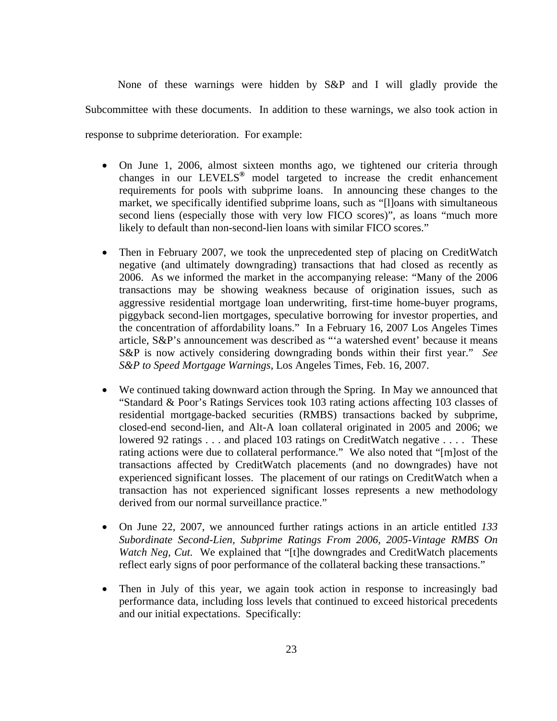None of these warnings were hidden by S&P and I will gladly provide the Subcommittee with these documents. In addition to these warnings, we also took action in response to subprime deterioration. For example:

- On June 1, 2006, almost sixteen months ago, we tightened our criteria through changes in our LEVELS**®** model targeted to increase the credit enhancement requirements for pools with subprime loans. In announcing these changes to the market, we specifically identified subprime loans, such as "[l]oans with simultaneous second liens (especially those with very low FICO scores)", as loans "much more likely to default than non-second-lien loans with similar FICO scores."
- Then in February 2007, we took the unprecedented step of placing on CreditWatch negative (and ultimately downgrading) transactions that had closed as recently as 2006. As we informed the market in the accompanying release: "Many of the 2006 transactions may be showing weakness because of origination issues, such as aggressive residential mortgage loan underwriting, first-time home-buyer programs, piggyback second-lien mortgages, speculative borrowing for investor properties, and the concentration of affordability loans." In a February 16, 2007 Los Angeles Times article, S&P's announcement was described as "'a watershed event' because it means S&P is now actively considering downgrading bonds within their first year." *See S&P to Speed Mortgage Warnings*, Los Angeles Times, Feb. 16, 2007.
- We continued taking downward action through the Spring.In May we announced that "Standard & Poor's Ratings Services took 103 rating actions affecting 103 classes of residential mortgage-backed securities (RMBS) transactions backed by subprime, closed-end second-lien, and Alt-A loan collateral originated in 2005 and 2006; we lowered 92 ratings . . . and placed 103 ratings on CreditWatch negative . . . . These rating actions were due to collateral performance." We also noted that "[m]ost of the transactions affected by CreditWatch placements (and no downgrades) have not experienced significant losses. The placement of our ratings on CreditWatch when a transaction has not experienced significant losses represents a new methodology derived from our normal surveillance practice."
- On June 22, 2007, we announced further ratings actions in an article entitled *133 Subordinate Second-Lien, Subprime Ratings From 2006, 2005-Vintage RMBS On Watch Neg, Cut.* We explained that "[t]he downgrades and CreditWatch placements reflect early signs of poor performance of the collateral backing these transactions."
- Then in July of this year, we again took action in response to increasingly bad performance data, including loss levels that continued to exceed historical precedents and our initial expectations. Specifically: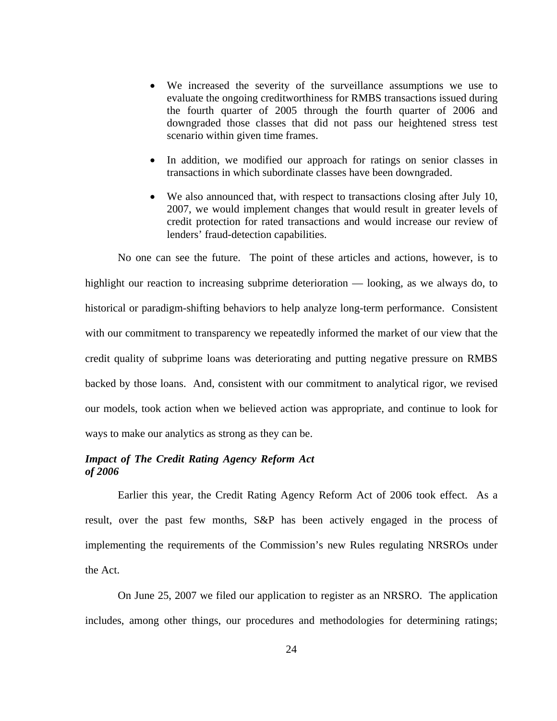- We increased the severity of the surveillance assumptions we use to evaluate the ongoing creditworthiness for RMBS transactions issued during the fourth quarter of 2005 through the fourth quarter of 2006 and downgraded those classes that did not pass our heightened stress test scenario within given time frames.
- In addition, we modified our approach for ratings on senior classes in transactions in which subordinate classes have been downgraded.
- We also announced that, with respect to transactions closing after July 10, 2007, we would implement changes that would result in greater levels of credit protection for rated transactions and would increase our review of lenders' fraud-detection capabilities.

No one can see the future. The point of these articles and actions, however, is to highlight our reaction to increasing subprime deterioration — looking, as we always do, to historical or paradigm-shifting behaviors to help analyze long-term performance. Consistent with our commitment to transparency we repeatedly informed the market of our view that the credit quality of subprime loans was deteriorating and putting negative pressure on RMBS backed by those loans. And, consistent with our commitment to analytical rigor, we revised our models, took action when we believed action was appropriate, and continue to look for ways to make our analytics as strong as they can be.

## *Impact of The Credit Rating Agency Reform Act of 2006*

Earlier this year, the Credit Rating Agency Reform Act of 2006 took effect. As a result, over the past few months, S&P has been actively engaged in the process of implementing the requirements of the Commission's new Rules regulating NRSROs under the Act.

On June 25, 2007 we filed our application to register as an NRSRO. The application includes, among other things, our procedures and methodologies for determining ratings;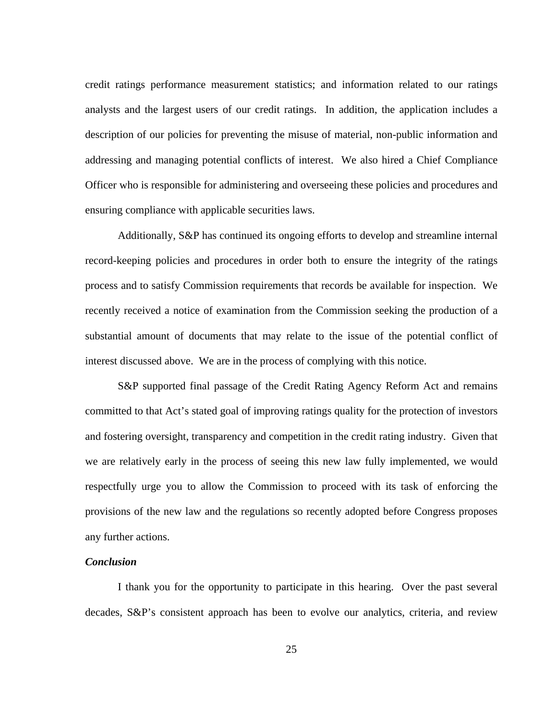credit ratings performance measurement statistics; and information related to our ratings analysts and the largest users of our credit ratings. In addition, the application includes a description of our policies for preventing the misuse of material, non-public information and addressing and managing potential conflicts of interest. We also hired a Chief Compliance Officer who is responsible for administering and overseeing these policies and procedures and ensuring compliance with applicable securities laws.

Additionally, S&P has continued its ongoing efforts to develop and streamline internal record-keeping policies and procedures in order both to ensure the integrity of the ratings process and to satisfy Commission requirements that records be available for inspection. We recently received a notice of examination from the Commission seeking the production of a substantial amount of documents that may relate to the issue of the potential conflict of interest discussed above. We are in the process of complying with this notice.

S&P supported final passage of the Credit Rating Agency Reform Act and remains committed to that Act's stated goal of improving ratings quality for the protection of investors and fostering oversight, transparency and competition in the credit rating industry. Given that we are relatively early in the process of seeing this new law fully implemented, we would respectfully urge you to allow the Commission to proceed with its task of enforcing the provisions of the new law and the regulations so recently adopted before Congress proposes any further actions.

## *Conclusion*

I thank you for the opportunity to participate in this hearing. Over the past several decades, S&P's consistent approach has been to evolve our analytics, criteria, and review